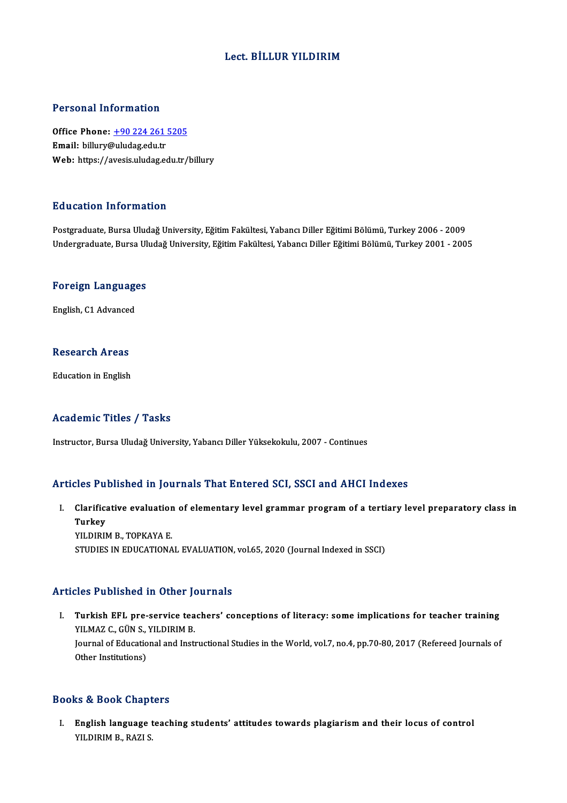## Lect. BİLLUR YILDIRIM

#### Personal Information

Personal Information<br>Office Phone: <u>+90 224 261 5205</u><br>Email: billury@uludga.edu.tr Procession internation<br>Office Phone: <u>+90 224 261</u><br>Email: billury[@uludag.edu.tr](tel:+90 224 261 5205) Email: billury@uludag.edu.tr<br>Web: https://avesis.uludag.edu.tr/billury

#### Education Information

Postgraduate, Bursa Uludağ University, Eğitim Fakültesi, Yabancı Diller Eğitimi Bölümü, Turkey 2006 - 2009 Undergraduate, Bursa Uludağ University, Eğitim Fakültesi, Yabancı Diller Eğitimi Bölümü, Turkey 2001 - 2005

## <sub>ondergraduate, bursa of<br>Foreign Languages</sub> <mark>Foreign Languag</mark>e<br>English, C1 Advanced

English, C1 Advanced<br>Research Areas

**Education** in English

## Academic Titles / Tasks

Instructor, Bursa Uludağ University, Yabancı Diller Yüksekokulu, 2007 - Continues

#### Articles Published in Journals That Entered SCI, SSCI and AHCI Indexes

rticles Published in Journals That Entered SCI, SSCI and AHCI Indexes<br>I. Clarificative evaluation of elementary level grammar program of a tertiary level preparatory class in<br>Turkey Tus 1 a<br>Clarifica<br>Turkey<br>YU DIPI Clarificative evaluatior<br>Turkey<br>YILDIRIM B., TOPKAYA E.<br>STUDIES IN EDUCATIONA Turkey<br>YILDIRIM B., TOPKAYA E.<br>STUDIES IN EDUCATIONAL EVALUATION, vol.65, 2020 (Journal Indexed in SSCI)

## Articles Published in Other Journals

I. Turkish EFL pre-service teachers' conceptions of literacy: some implications for teacher training<br>I. Turkish EFL pre-service teachers' conceptions of literacy: some implications for teacher training<br>VII MAZ G. CÜN S. VI Turkish EFL pre-service tea<br>YILMAZ C., GÜN S., YILDIRIM B.<br>Journal of Educational and Insti Turkish EFL pre-service teachers' conceptions of literacy: some implications for teacher training<br>YILMAZ C., GÜN S., YILDIRIM B.<br>Journal of Educational and Instructional Studies in the World, vol.7, no.4, pp.70-80, 2017 (R YILMAZ C., GÜN S.,<br>Journal of Educatio<br>Other Institutions) 0ther Institutions)<br>Books & Book Chapters

ooks & Book Chapters<br>I. English language teaching students' attitudes towards plagiarism and their locus of control<br>2011 NULDIM B, PAZLS to a book dhap.<br>English language<br>YILDIRIM B., RAZI S.